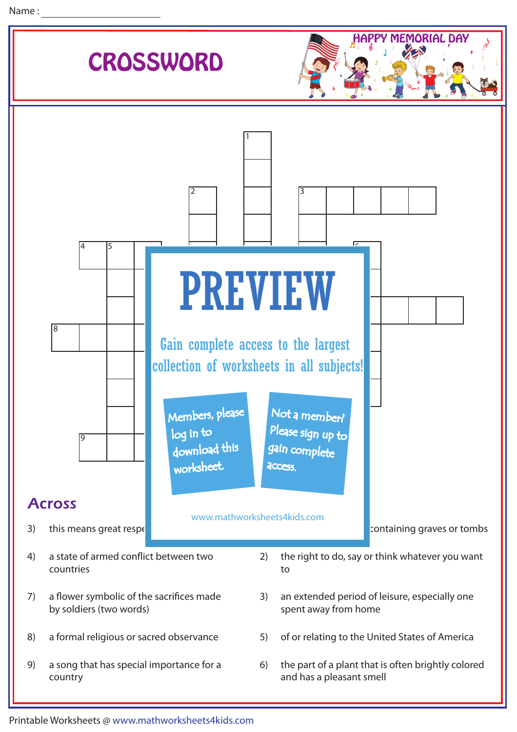